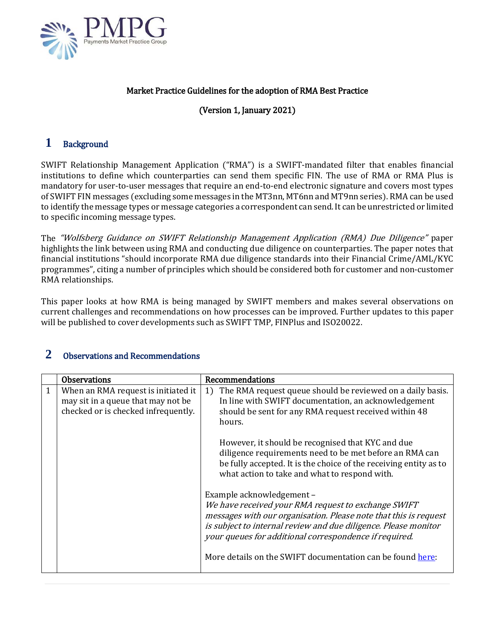

## Market Practice Guidelines for the adoption of RMA Best Practice

# (Version 1, January 2021)

# **1** Background

SWIFT Relationship Management Application ("RMA") is a SWIFT-mandated filter that enables financial institutions to define which counterparties can send them specific FIN. The use of RMA or RMA Plus is mandatory for user-to-user messages that require an end-to-end electronic signature and covers most types of SWIFT FIN messages (excluding some messages in the MT3nn, MT6nn and MT9nn series). RMA can be used to identify the message types or message categories a correspondent can send. It can be unrestricted or limited to specific incoming message types.

The "Wolfsberg Guidance on SWIFT Relationship Management Application (RMA) Due Diligence" paper highlights the link between using RMA and conducting due diligence on counterparties. The paper notes that financial institutions "should incorporate RMA due diligence standards into their Financial Crime/AML/KYC programmes", citing a number of principles which should be considered both for customer and non-customer RMA relationships.

This paper looks at how RMA is being managed by SWIFT members and makes several observations on current challenges and recommendations on how processes can be improved. Further updates to this paper will be published to cover developments such as SWIFT TMP, FINPlus and ISO20022.

| <b>Observations</b>                                                                                              | Recommendations                                                                                                                                                                                                                                                                                                                                                                                                                |
|------------------------------------------------------------------------------------------------------------------|--------------------------------------------------------------------------------------------------------------------------------------------------------------------------------------------------------------------------------------------------------------------------------------------------------------------------------------------------------------------------------------------------------------------------------|
| When an RMA request is initiated it<br>may sit in a queue that may not be<br>checked or is checked infrequently. | 1) The RMA request queue should be reviewed on a daily basis.<br>In line with SWIFT documentation, an acknowledgement<br>should be sent for any RMA request received within 48<br>hours.<br>However, it should be recognised that KYC and due<br>diligence requirements need to be met before an RMA can<br>be fully accepted. It is the choice of the receiving entity as to<br>what action to take and what to respond with. |
|                                                                                                                  | Example acknowledgement -<br>We have received your RMA request to exchange SWIFT<br>messages with our organisation. Please note that this is request<br>is subject to internal review and due diligence. Please monitor<br>your queues for additional correspondence if required.<br>More details on the SWIFT documentation can be found here:                                                                                |

## **2** Observations and Recommendations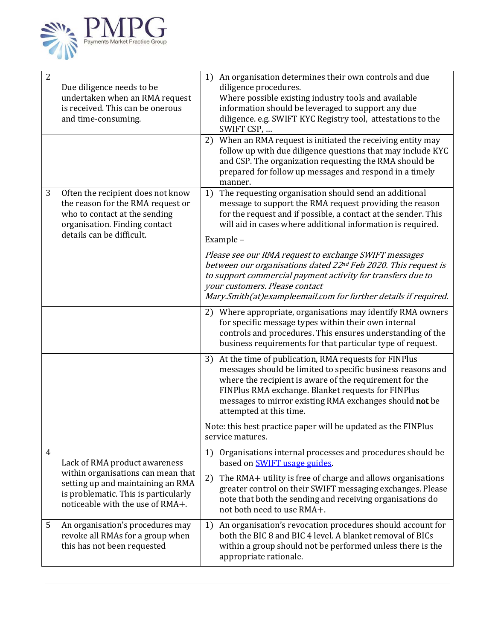

| $\overline{2}$ | Due diligence needs to be<br>undertaken when an RMA request<br>is received. This can be onerous<br>and time-consuming.                                                               | An organisation determines their own controls and due<br>1)<br>diligence procedures.<br>Where possible existing industry tools and available<br>information should be leveraged to support any due<br>diligence. e.g. SWIFT KYC Registry tool, attestations to the<br>SWIFT CSP,<br>When an RMA request is initiated the receiving entity may<br>2)<br>follow up with due diligence questions that may include KYC<br>and CSP. The organization requesting the RMA should be<br>prepared for follow up messages and respond in a timely<br>manner. |
|----------------|--------------------------------------------------------------------------------------------------------------------------------------------------------------------------------------|----------------------------------------------------------------------------------------------------------------------------------------------------------------------------------------------------------------------------------------------------------------------------------------------------------------------------------------------------------------------------------------------------------------------------------------------------------------------------------------------------------------------------------------------------|
| 3              | Often the recipient does not know<br>the reason for the RMA request or<br>who to contact at the sending<br>organisation. Finding contact<br>details can be difficult.                | 1) The requesting organisation should send an additional<br>message to support the RMA request providing the reason<br>for the request and if possible, a contact at the sender. This<br>will aid in cases where additional information is required.<br>Example -                                                                                                                                                                                                                                                                                  |
|                |                                                                                                                                                                                      | Please see our RMA request to exchange SWIFT messages<br>between our organisations dated 22 <sup>nd</sup> Feb 2020. This request is<br>to support commercial payment activity for transfers due to<br>your customers. Please contact<br>Mary.Smith(at)exampleemail.com for further details if required.                                                                                                                                                                                                                                            |
|                |                                                                                                                                                                                      | 2) Where appropriate, organisations may identify RMA owners<br>for specific message types within their own internal<br>controls and procedures. This ensures understanding of the<br>business requirements for that particular type of request.                                                                                                                                                                                                                                                                                                    |
|                |                                                                                                                                                                                      | At the time of publication, RMA requests for FINPlus<br>3)<br>messages should be limited to specific business reasons and<br>where the recipient is aware of the requirement for the<br>FINPlus RMA exchange. Blanket requests for FINPlus<br>messages to mirror existing RMA exchanges should not be<br>attempted at this time.                                                                                                                                                                                                                   |
|                |                                                                                                                                                                                      | Note: this best practice paper will be updated as the FINPlus<br>service matures.                                                                                                                                                                                                                                                                                                                                                                                                                                                                  |
| $\overline{4}$ | Lack of RMA product awareness<br>within organisations can mean that<br>setting up and maintaining an RMA<br>is problematic. This is particularly<br>noticeable with the use of RMA+. | Organisations internal processes and procedures should be<br>1)<br>based on <b>SWIFT</b> usage guides.                                                                                                                                                                                                                                                                                                                                                                                                                                             |
|                |                                                                                                                                                                                      | The RMA+ utility is free of charge and allows organisations<br>2)<br>greater control on their SWIFT messaging exchanges. Please<br>note that both the sending and receiving organisations do<br>not both need to use RMA+.                                                                                                                                                                                                                                                                                                                         |
| 5              | An organisation's procedures may<br>revoke all RMAs for a group when<br>this has not been requested                                                                                  | An organisation's revocation procedures should account for<br>1)<br>both the BIC 8 and BIC 4 level. A blanket removal of BICs<br>within a group should not be performed unless there is the<br>appropriate rationale.                                                                                                                                                                                                                                                                                                                              |